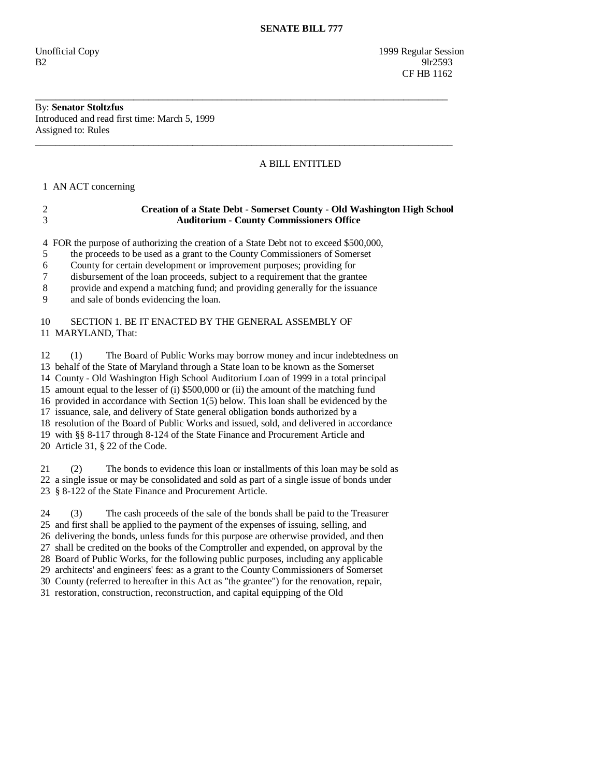Unofficial Copy 1999 Regular Session  $B2$  9lr2593 **CF HB 1162** 

## By: **Senator Stoltzfus**  Introduced and read first time: March 5, 1999 Assigned to: Rules

## A BILL ENTITLED

1 AN ACT concerning

| <b>Creation of a State Debt - Somerset County - Old Washington High School</b> |
|--------------------------------------------------------------------------------|
| <b>Auditorium - County Commissioners Office</b>                                |

\_\_\_\_\_\_\_\_\_\_\_\_\_\_\_\_\_\_\_\_\_\_\_\_\_\_\_\_\_\_\_\_\_\_\_\_\_\_\_\_\_\_\_\_\_\_\_\_\_\_\_\_\_\_\_\_\_\_\_\_\_\_\_\_\_\_\_\_\_\_\_\_\_\_\_\_\_\_\_\_\_\_\_\_

\_\_\_\_\_\_\_\_\_\_\_\_\_\_\_\_\_\_\_\_\_\_\_\_\_\_\_\_\_\_\_\_\_\_\_\_\_\_\_\_\_\_\_\_\_\_\_\_\_\_\_\_\_\_\_\_\_\_\_\_\_\_\_\_\_\_\_\_\_\_\_\_\_\_\_\_\_\_\_\_\_\_\_\_\_

4 FOR the purpose of authorizing the creation of a State Debt not to exceed \$500,000,

5 the proceeds to be used as a grant to the County Commissioners of Somerset

6 County for certain development or improvement purposes; providing for

7 disbursement of the loan proceeds, subject to a requirement that the grantee

8 provide and expend a matching fund; and providing generally for the issuance

9 and sale of bonds evidencing the loan.

## 10 SECTION 1. BE IT ENACTED BY THE GENERAL ASSEMBLY OF 11 MARYLAND, That:

 12 (1) The Board of Public Works may borrow money and incur indebtedness on 13 behalf of the State of Maryland through a State loan to be known as the Somerset 14 County - Old Washington High School Auditorium Loan of 1999 in a total principal 15 amount equal to the lesser of (i) \$500,000 or (ii) the amount of the matching fund 16 provided in accordance with Section 1(5) below. This loan shall be evidenced by the 17 issuance, sale, and delivery of State general obligation bonds authorized by a 18 resolution of the Board of Public Works and issued, sold, and delivered in accordance 19 with §§ 8-117 through 8-124 of the State Finance and Procurement Article and 20 Article 31, § 22 of the Code.

 21 (2) The bonds to evidence this loan or installments of this loan may be sold as 22 a single issue or may be consolidated and sold as part of a single issue of bonds under 23 § 8-122 of the State Finance and Procurement Article.

 24 (3) The cash proceeds of the sale of the bonds shall be paid to the Treasurer 25 and first shall be applied to the payment of the expenses of issuing, selling, and 26 delivering the bonds, unless funds for this purpose are otherwise provided, and then 27 shall be credited on the books of the Comptroller and expended, on approval by the 28 Board of Public Works, for the following public purposes, including any applicable 29 architects' and engineers' fees: as a grant to the County Commissioners of Somerset 30 County (referred to hereafter in this Act as "the grantee") for the renovation, repair,

31 restoration, construction, reconstruction, and capital equipping of the Old